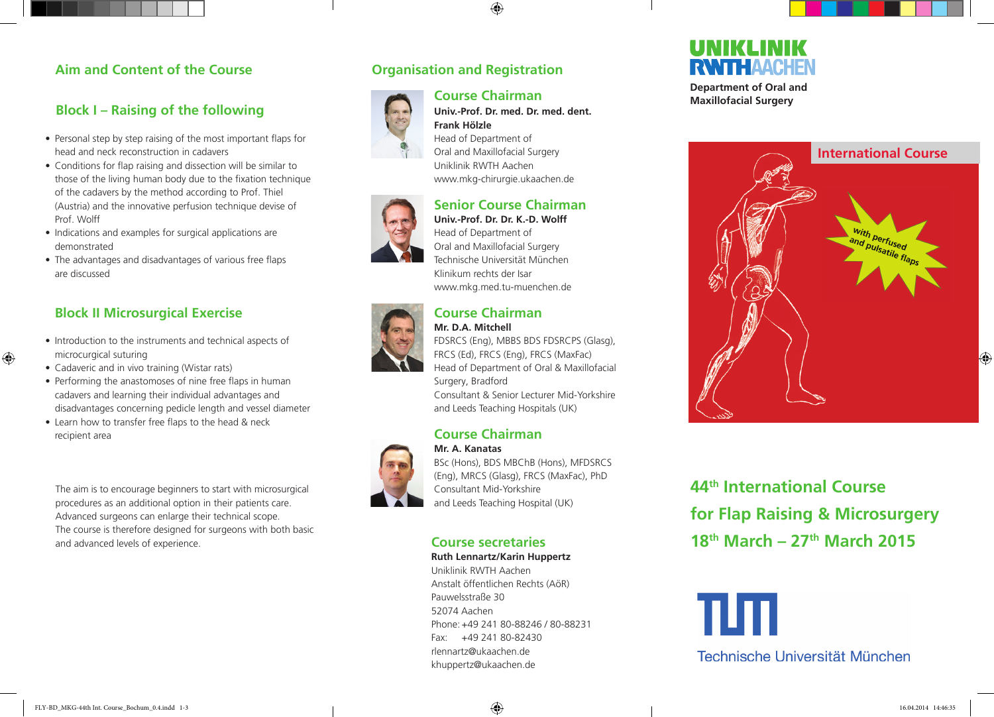## **Aim and Content of the Course**

## **Block I – Raising of the following**

- Personal step by step raising of the most important flaps for head and neck reconstruction in cadavers
- Conditions for flap raising and dissection will be similar to those of the living human body due to the fixation technique of the cadavers by the method according to Prof. Thiel (Austria) and the innovative perfusion technique devise of Prof. Wolff
- Indications and examples for surgical applications are demonstrated
- The advantages and disadvantages of various free flaps are discussed

## **Block II Microsurgical Exercise**

- Introduction to the instruments and technical aspects of microcurgical suturing
- Cadaveric and in vivo training (Wistar rats)

 $\bigoplus$ 

- Performing the anastomoses of nine free flaps in human cadavers and learning their individual advantages and disadvantages concerning pedicle length and vessel diameter
- Learn how to transfer free flaps to the head & neck recipient area

The aim is to encourage beginners to start with microsurgical procedures as an additional option in their patients care. Advanced surgeons can enlarge their technical scope. The course is therefore designed for surgeons with both basic and advanced levels of experience.



## **Course Chairman**

♠



**Univ.-Prof. Dr. med. Dr. med. dent. Frank Hölzle** Head of Department of

Oral and Maxillofacial Surgery Uniklinik RWTH Aachen www.mkg-chirurgie.ukaachen.de

## **Senior Course Chairman**

**Univ.-Prof. Dr. Dr. K.-D. Wolff** Head of Department of Oral and Maxillofacial Surgery Technische Universität München Klinikum rechts der Isar www.mkg.med.tu-muenchen.de



#### **Course Chairman Mr. D.A. Mitchell**

FDSRCS (Eng), MBBS BDS FDSRCPS (Glasg), FRCS (Ed), FRCS (Eng), FRCS (MaxFac) Head of Department of Oral & Maxillofacial Surgery, Bradford Consultant & Senior Lecturer Mid-Yorkshire

and Leeds Teaching Hospitals (UK)

#### **Course Chairman Mr. A. Kanatas**



BSc (Hons), BDS MBChB (Hons), MFDSRCS (Eng), MRCS (Glasg), FRCS (MaxFac), PhD Consultant Mid-Yorkshire and Leeds Teaching Hospital (UK)

## **Course secretaries**

**Ruth Lennartz/Karin Huppertz** Uniklinik RWTH Aachen Anstalt öffentlichen Rechts (AöR) Pauwelsstraße 30 52074 Aachen Phone: +49 241 80-88246 / 80-88231 Fax: +49 241 80-82430 rlennartz@ukaachen.de khuppertz@ukaachen.de

# UNIKLINIK **RWITH AACHEN**

**Department of Oral and Maxillofacial Surgery**



**44th International Course for Flap Raising & Microsurgery 18th March – 27th March 2015** 

πп

Technische Universität München